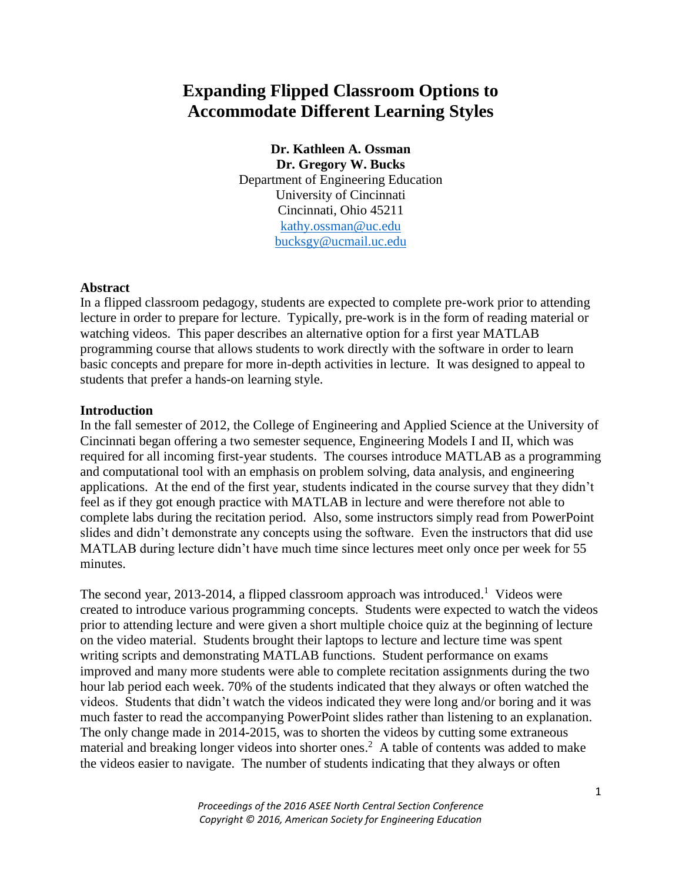# **Expanding Flipped Classroom Options to Accommodate Different Learning Styles**

**Dr. Kathleen A. Ossman Dr. Gregory W. Bucks** Department of Engineering Education University of Cincinnati Cincinnati, Ohio 45211 [kathy.ossman@uc.edu](mailto:kathy.ossman@uc.edu) [bucksgy@ucmail.uc.edu](mailto:bucksgy@ucmail.uc.edu)

#### **Abstract**

In a flipped classroom pedagogy, students are expected to complete pre-work prior to attending lecture in order to prepare for lecture. Typically, pre-work is in the form of reading material or watching videos. This paper describes an alternative option for a first year MATLAB programming course that allows students to work directly with the software in order to learn basic concepts and prepare for more in-depth activities in lecture. It was designed to appeal to students that prefer a hands-on learning style.

#### **Introduction**

In the fall semester of 2012, the College of Engineering and Applied Science at the University of Cincinnati began offering a two semester sequence, Engineering Models I and II, which was required for all incoming first-year students. The courses introduce MATLAB as a programming and computational tool with an emphasis on problem solving, data analysis, and engineering applications. At the end of the first year, students indicated in the course survey that they didn't feel as if they got enough practice with MATLAB in lecture and were therefore not able to complete labs during the recitation period. Also, some instructors simply read from PowerPoint slides and didn't demonstrate any concepts using the software. Even the instructors that did use MATLAB during lecture didn't have much time since lectures meet only once per week for 55 minutes.

The second year, 2013-2014, a flipped classroom approach was introduced.<sup>1</sup> Videos were created to introduce various programming concepts. Students were expected to watch the videos prior to attending lecture and were given a short multiple choice quiz at the beginning of lecture on the video material. Students brought their laptops to lecture and lecture time was spent writing scripts and demonstrating MATLAB functions. Student performance on exams improved and many more students were able to complete recitation assignments during the two hour lab period each week. 70% of the students indicated that they always or often watched the videos. Students that didn't watch the videos indicated they were long and/or boring and it was much faster to read the accompanying PowerPoint slides rather than listening to an explanation. The only change made in 2014-2015, was to shorten the videos by cutting some extraneous material and breaking longer videos into shorter ones.<sup>2</sup> A table of contents was added to make the videos easier to navigate. The number of students indicating that they always or often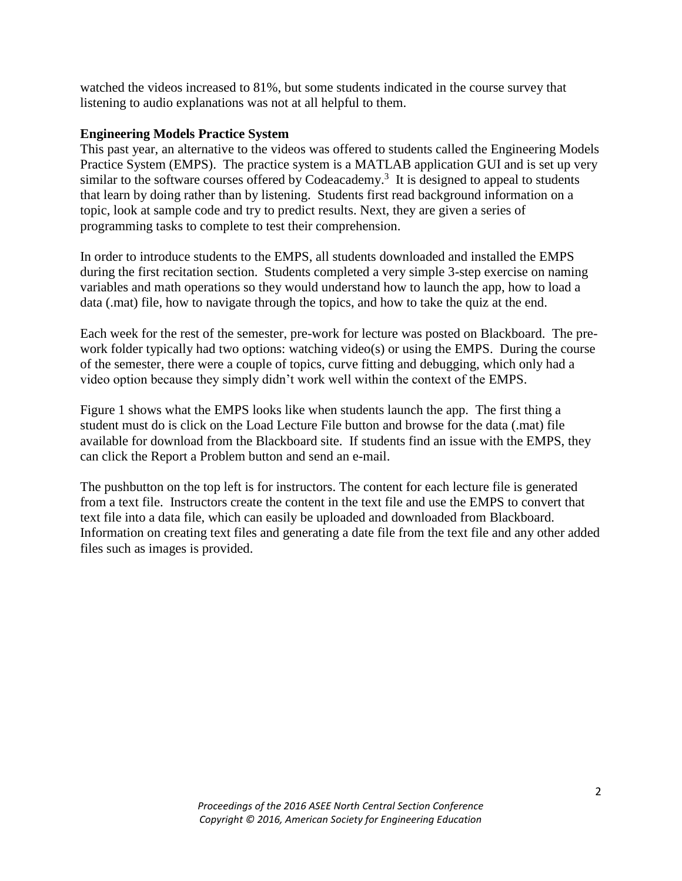watched the videos increased to 81%, but some students indicated in the course survey that listening to audio explanations was not at all helpful to them.

## **Engineering Models Practice System**

This past year, an alternative to the videos was offered to students called the Engineering Models Practice System (EMPS). The practice system is a MATLAB application GUI and is set up very similar to the software courses offered by Codeacademy.<sup>3</sup> It is designed to appeal to students that learn by doing rather than by listening. Students first read background information on a topic, look at sample code and try to predict results. Next, they are given a series of programming tasks to complete to test their comprehension.

In order to introduce students to the EMPS, all students downloaded and installed the EMPS during the first recitation section. Students completed a very simple 3-step exercise on naming variables and math operations so they would understand how to launch the app, how to load a data (.mat) file, how to navigate through the topics, and how to take the quiz at the end.

Each week for the rest of the semester, pre-work for lecture was posted on Blackboard. The prework folder typically had two options: watching video(s) or using the EMPS. During the course of the semester, there were a couple of topics, curve fitting and debugging, which only had a video option because they simply didn't work well within the context of the EMPS.

Figure 1 shows what the EMPS looks like when students launch the app. The first thing a student must do is click on the Load Lecture File button and browse for the data (.mat) file available for download from the Blackboard site. If students find an issue with the EMPS, they can click the Report a Problem button and send an e-mail.

The pushbutton on the top left is for instructors. The content for each lecture file is generated from a text file. Instructors create the content in the text file and use the EMPS to convert that text file into a data file, which can easily be uploaded and downloaded from Blackboard. Information on creating text files and generating a date file from the text file and any other added files such as images is provided.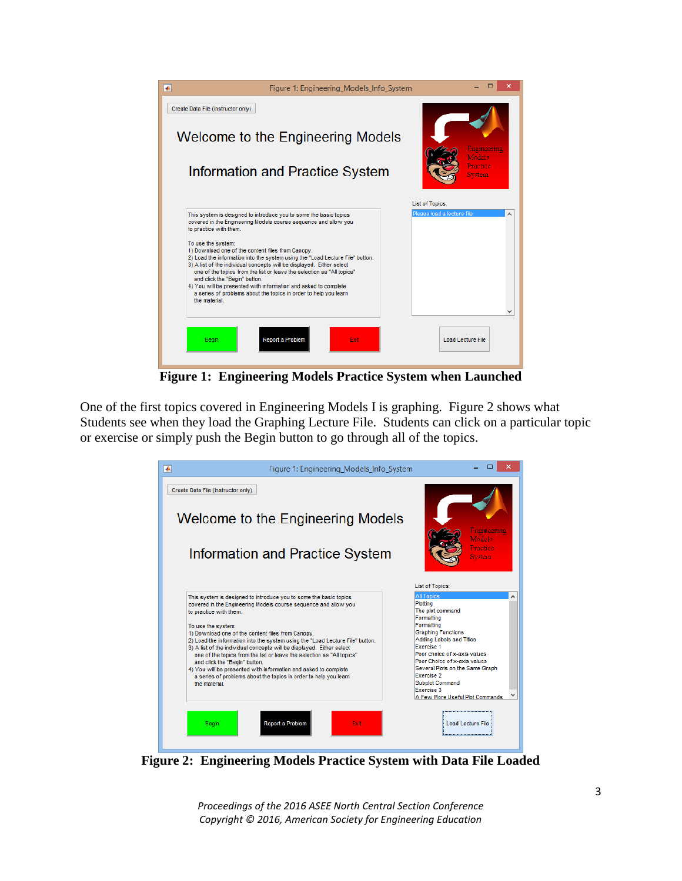

**Figure 1: Engineering Models Practice System when Launched**

One of the first topics covered in Engineering Models I is graphing. Figure 2 shows what Students see when they load the Graphing Lecture File. Students can click on a particular topic or exercise or simply push the Begin button to go through all of the topics.



**Figure 2: Engineering Models Practice System with Data File Loaded**

*Proceedings of the 2016 ASEE North Central Section Conference Copyright © 2016, American Society for Engineering Education*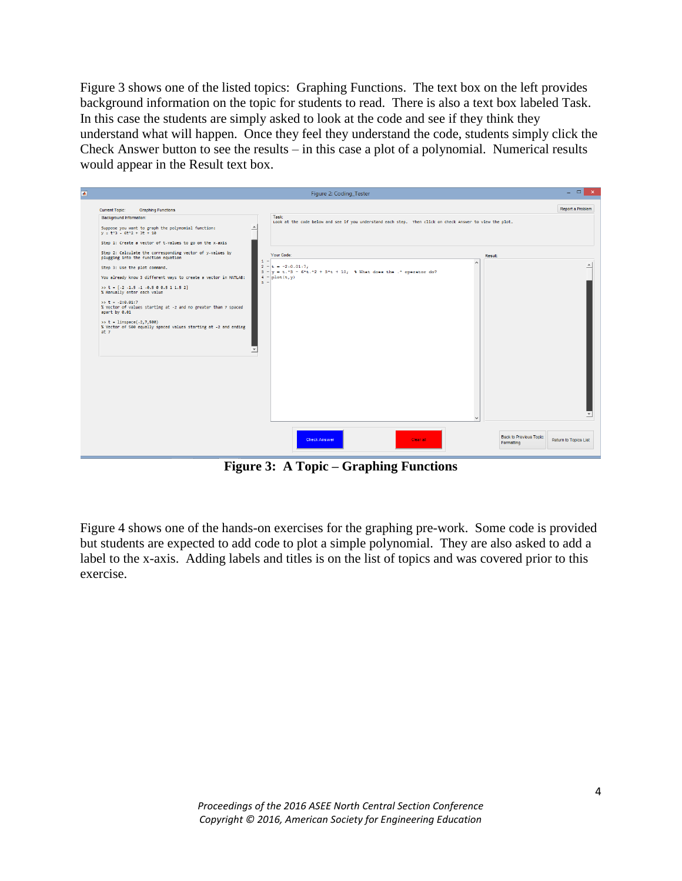Figure 3 shows one of the listed topics: Graphing Functions. The text box on the left provides background information on the topic for students to read. There is also a text box labeled Task. In this case the students are simply asked to look at the code and see if they think they understand what will happen. Once they feel they understand the code, students simply click the Check Answer button to see the results – in this case a plot of a polynomial. Numerical results would appear in the Result text box.

|                                                                                                                     | Figure 2: Coding_Tester                                                                                          |                                | - ol<br>$\mathbf{x}$  |
|---------------------------------------------------------------------------------------------------------------------|------------------------------------------------------------------------------------------------------------------|--------------------------------|-----------------------|
| <b>Current Topic:</b><br><b>Graphing Functions</b>                                                                  |                                                                                                                  |                                | Report a Problem      |
| Background Information:<br>Suppose you want to graph the polynomial function:<br>$y = t^3 - 6t^2 + 3t + 10$         | Task<br>Look at the code below and see if you understand each step. Then click on Check Answer to view the plot. |                                |                       |
| Step 1: Create a vector of t-values to go on the x-axis                                                             |                                                                                                                  |                                |                       |
| Step 2: Calculate the corresponding vector of y-values by<br>plugging into the function equation                    | Your Code:<br>1                                                                                                  | Result:                        |                       |
| Step 3: Use the plot command.                                                                                       | $2 - t = -2:0.01:7$<br>$3 - y = t$ . $3 - 6 + t$ . $2 + 3 + t + 10$ ; 4 What does the . ^ operator do?           | $\sim$                         |                       |
| You already know 3 different ways to create a vector in MATLAB:                                                     | $4 - \text{plot}(t, y)$<br>$5 -$                                                                                 |                                |                       |
| $\gg$ t = [-2 -1.5 -1 -0.5 0 0.5 1 1.5 2]<br>% Manually enter each value                                            |                                                                                                                  |                                |                       |
| $\gg t = -2:0.01:7$<br>% Vector of values starting at -2 and no greater than 7 spaced<br>apart by 0.01              |                                                                                                                  |                                |                       |
| $\gg t = 1$ inspace(-2,7,500)<br>% Vector of 500 equally spaced values starting at -2 and ending<br>at <sub>7</sub> |                                                                                                                  |                                |                       |
|                                                                                                                     |                                                                                                                  |                                |                       |
|                                                                                                                     |                                                                                                                  |                                |                       |
|                                                                                                                     |                                                                                                                  |                                |                       |
|                                                                                                                     |                                                                                                                  |                                |                       |
|                                                                                                                     |                                                                                                                  |                                |                       |
|                                                                                                                     |                                                                                                                  |                                |                       |
|                                                                                                                     |                                                                                                                  |                                |                       |
|                                                                                                                     |                                                                                                                  | <b>Back to Previous Topic:</b> |                       |
|                                                                                                                     | <b>Check Answer</b><br>Clear all                                                                                 | Formatting                     | Return to Topics List |

**Figure 3: A Topic – Graphing Functions**

Figure 4 shows one of the hands-on exercises for the graphing pre-work. Some code is provided but students are expected to add code to plot a simple polynomial. They are also asked to add a label to the x-axis. Adding labels and titles is on the list of topics and was covered prior to this exercise.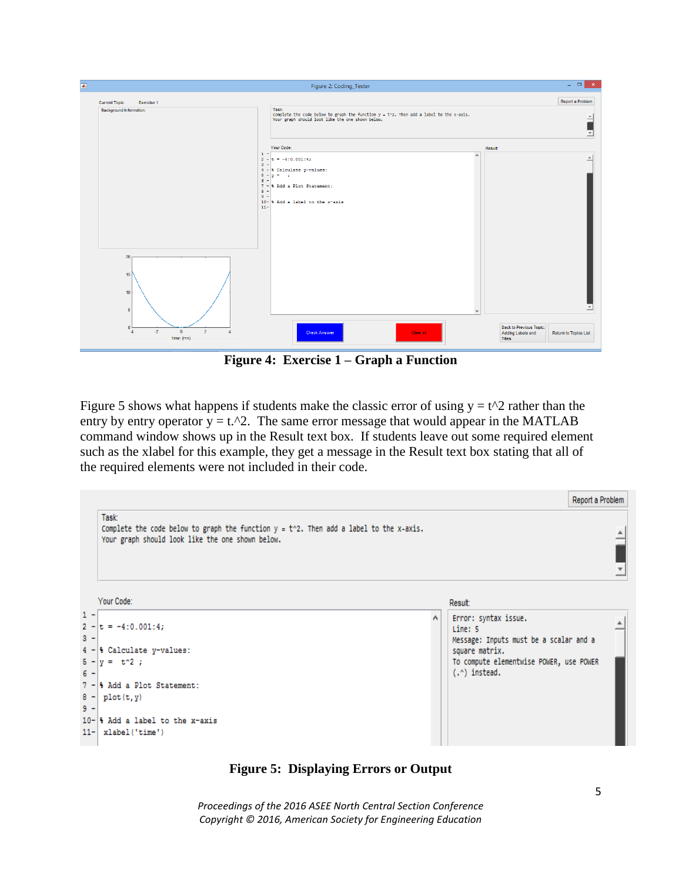| $\overline{\bullet}$                                                                                                                   | Figure 2: Coding_Tester                                                                                                                                                                                                              | $ -$<br>$\propto$                                                               |
|----------------------------------------------------------------------------------------------------------------------------------------|--------------------------------------------------------------------------------------------------------------------------------------------------------------------------------------------------------------------------------------|---------------------------------------------------------------------------------|
| <b>Current Topic:</b><br>Exercise 1<br>Background Information:                                                                         | Task:<br>Complete the code below to graph the function $y = t^2$ . Then add a label to the x-axis.<br>Your graph should look like the one shown below.                                                                               | Report a Problem<br>$\Delta$<br>$\mathbf{v}$                                    |
|                                                                                                                                        | Your Code:<br>$1 -$<br>$\wedge$<br>$2 - 5 = -4:0.001:4;$<br>$\mathbf{3}$<br>$4 - 8$ Calculate y-values:<br>$S - y = -y$<br>$6^{\circ}$<br>7 - 8 Add a Plot Statement:<br>$8 -$<br>$9 -$<br>10- % Add a label to the x-axis<br>$11 -$ | Result:<br>$\blacktriangle$                                                     |
| 20 <sub>2</sub><br>15<br>10<br>5<br>$\Omega$<br>$\mathbf{0}$<br>$\overline{2}$<br>$-2$<br>$\overline{4}$<br>$\mathcal{A}$<br>time (ms) | $\ddot{\phantom{1}}$<br><b>Check Answer</b><br>Clear all                                                                                                                                                                             | Back to Previous Topic:<br>Adding Labels and<br>Return to Topics List<br>Titles |

**Figure 4: Exercise 1 – Graph a Function**

Figure 5 shows what happens if students make the classic error of using  $y = t^2$  rather than the entry by entry operator  $y = t.^2$ . The same error message that would appear in the MATLAB command window shows up in the Result text box. If students leave out some required element such as the xlabel for this example, they get a message in the Result text box stating that all of the required elements were not included in their code.



**Figure 5: Displaying Errors or Output**

*Proceedings of the 2016 ASEE North Central Section Conference Copyright © 2016, American Society for Engineering Education*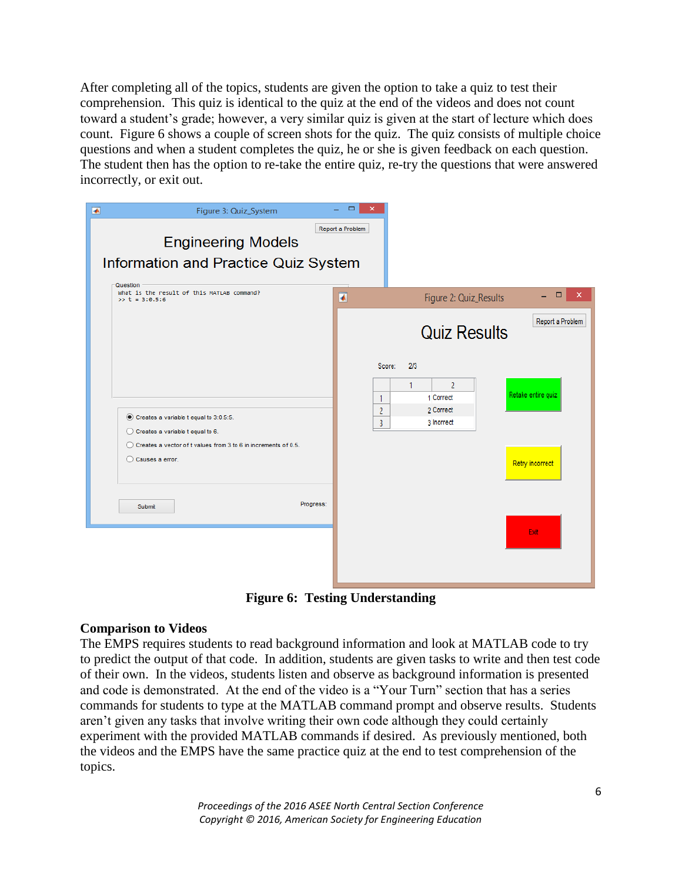After completing all of the topics, students are given the option to take a quiz to test their comprehension. This quiz is identical to the quiz at the end of the videos and does not count toward a student's grade; however, a very similar quiz is given at the start of lecture which does count. Figure 6 shows a couple of screen shots for the quiz. The quiz consists of multiple choice questions and when a student completes the quiz, he or she is given feedback on each question. The student then has the option to re-take the entire quiz, re-try the questions that were answered incorrectly, or exit out.

| $\overline{\bullet}$  | Figure 2: Quiz_Results                                             | □<br>×                                |
|-----------------------|--------------------------------------------------------------------|---------------------------------------|
|                       | <b>Quiz Results</b>                                                | Report a Problem                      |
| Score:<br>1<br>2<br>3 | 2/3<br>1<br>$\overline{2}$<br>1 Correct<br>2 Correct<br>3 Inorrect | Retake entire quiz<br>Retry incorrect |
|                       |                                                                    | Exit                                  |
|                       | Report a Problem<br>Information and Practice Quiz System           |                                       |

**Figure 6: Testing Understanding**

## **Comparison to Videos**

The EMPS requires students to read background information and look at MATLAB code to try to predict the output of that code. In addition, students are given tasks to write and then test code of their own. In the videos, students listen and observe as background information is presented and code is demonstrated. At the end of the video is a "Your Turn" section that has a series commands for students to type at the MATLAB command prompt and observe results. Students aren't given any tasks that involve writing their own code although they could certainly experiment with the provided MATLAB commands if desired. As previously mentioned, both the videos and the EMPS have the same practice quiz at the end to test comprehension of the topics.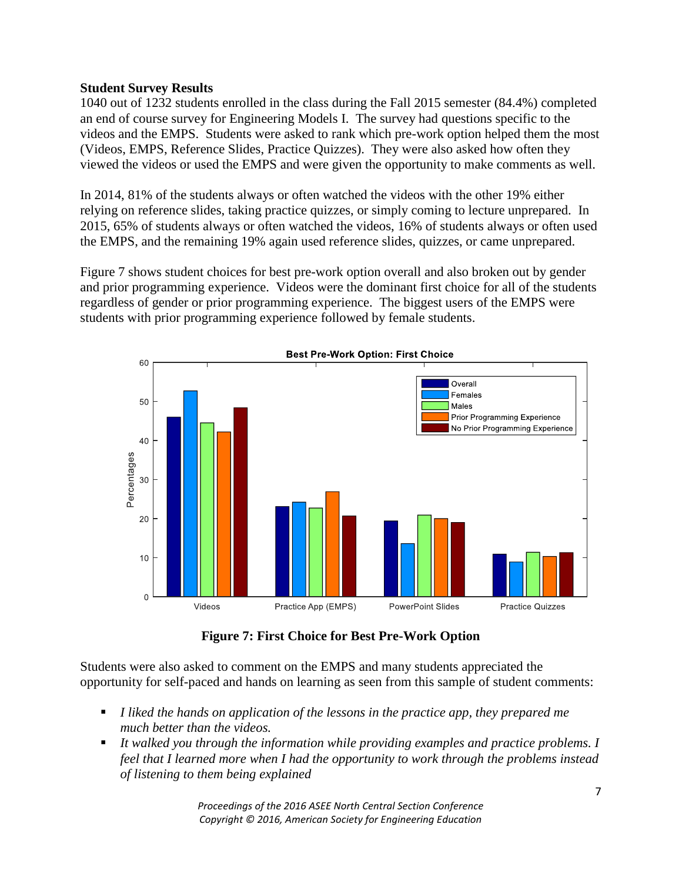## **Student Survey Results**

1040 out of 1232 students enrolled in the class during the Fall 2015 semester (84.4%) completed an end of course survey for Engineering Models I. The survey had questions specific to the videos and the EMPS. Students were asked to rank which pre-work option helped them the most (Videos, EMPS, Reference Slides, Practice Quizzes). They were also asked how often they viewed the videos or used the EMPS and were given the opportunity to make comments as well.

In 2014, 81% of the students always or often watched the videos with the other 19% either relying on reference slides, taking practice quizzes, or simply coming to lecture unprepared. In 2015, 65% of students always or often watched the videos, 16% of students always or often used the EMPS, and the remaining 19% again used reference slides, quizzes, or came unprepared.

Figure 7 shows student choices for best pre-work option overall and also broken out by gender and prior programming experience. Videos were the dominant first choice for all of the students regardless of gender or prior programming experience. The biggest users of the EMPS were students with prior programming experience followed by female students.



**Figure 7: First Choice for Best Pre-Work Option**

Students were also asked to comment on the EMPS and many students appreciated the opportunity for self-paced and hands on learning as seen from this sample of student comments:

- *I liked the hands on application of the lessons in the practice app, they prepared me much better than the videos.*
- *It walked you through the information while providing examples and practice problems. I feel that I learned more when I had the opportunity to work through the problems instead of listening to them being explained*

*Proceedings of the 2016 ASEE North Central Section Conference Copyright © 2016, American Society for Engineering Education*